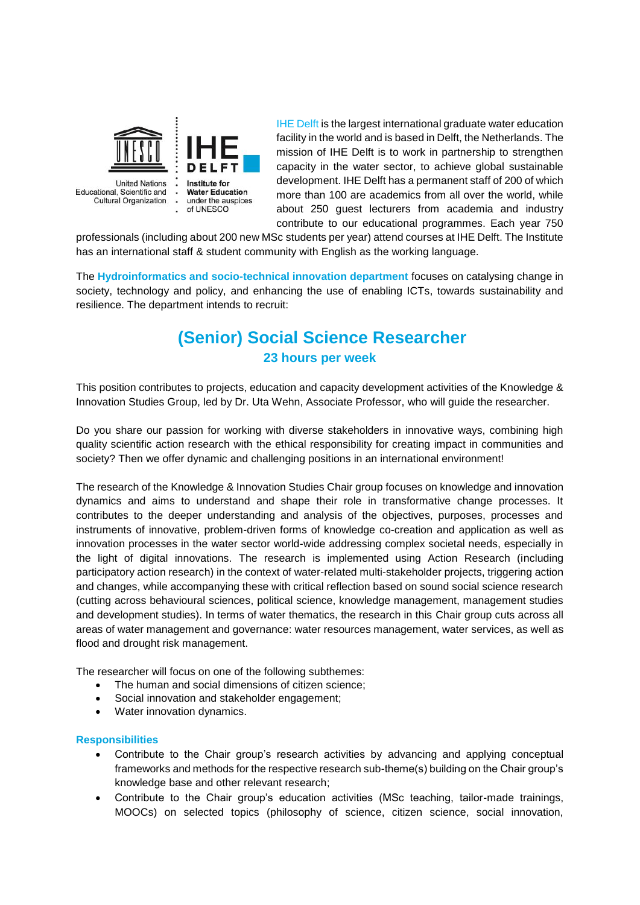

**Linited Nations** Educational, Scientific and Cultural Organization

Institute for **Water Education** under the auspices of UNESCO

IHE Delft is the largest international graduate water education facility in the world and is based in Delft, the Netherlands. The mission of IHE Delft is to work in partnership to strengthen capacity in the water sector, to achieve global sustainable development. IHE Delft has a permanent staff of 200 of which more than 100 are academics from all over the world, while about 250 guest lecturers from academia and industry contribute to our educational programmes. Each year 750

professionals (including about 200 new MSc students per year) attend courses at IHE Delft. The Institute has an international staff & student community with English as the working language.

The **Hydroinformatics and socio-technical innovation department** focuses on catalysing change in society, technology and policy, and enhancing the use of enabling ICTs, towards sustainability and resilience. The department intends to recruit:

# **(Senior) Social Science Researcher 23 hours per week**

This position contributes to projects, education and capacity development activities of the Knowledge & Innovation Studies Group, led by Dr. Uta Wehn, Associate Professor, who will guide the researcher.

Do you share our passion for working with diverse stakeholders in innovative ways, combining high quality scientific action research with the ethical responsibility for creating impact in communities and society? Then we offer dynamic and challenging positions in an international environment!

The research of the Knowledge & Innovation Studies Chair group focuses on knowledge and innovation dynamics and aims to understand and shape their role in transformative change processes. It contributes to the deeper understanding and analysis of the objectives, purposes, processes and instruments of innovative, problem-driven forms of knowledge co-creation and application as well as innovation processes in the water sector world-wide addressing complex societal needs, especially in the light of digital innovations. The research is implemented using Action Research (including participatory action research) in the context of water-related multi-stakeholder projects, triggering action and changes, while accompanying these with critical reflection based on sound social science research (cutting across behavioural sciences, political science, knowledge management, management studies and development studies). In terms of water thematics, the research in this Chair group cuts across all areas of water management and governance: water resources management, water services, as well as flood and drought risk management.

The researcher will focus on one of the following subthemes:

- The human and social dimensions of citizen science;
- Social innovation and stakeholder engagement;
- Water innovation dynamics.

## **Responsibilities**

- Contribute to the Chair group's research activities by advancing and applying conceptual frameworks and methods for the respective research sub-theme(s) building on the Chair group's knowledge base and other relevant research;
- Contribute to the Chair group's education activities (MSc teaching, tailor-made trainings, MOOCs) on selected topics (philosophy of science, citizen science, social innovation,